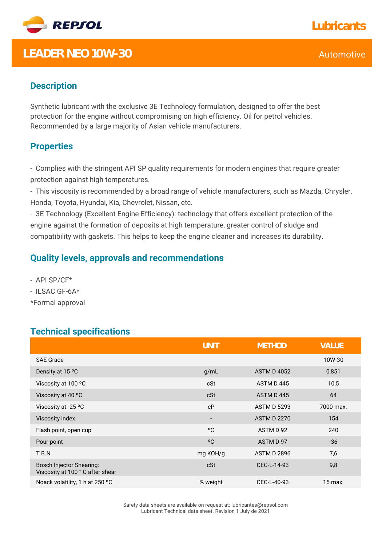

## **LEADER NEO 10W-30** Automotive

### **Description**

Synthetic lubricant with the exclusive 3E Technology formulation, designed to offer the best protection for the engine without compromising on high efficiency. Oil for petrol vehicles. Recommended by a large majority of Asian vehicle manufacturers.

#### **Properties**

- Complies with the stringent API SP quality requirements for modern engines that require greater protection against high temperatures.

- This viscosity is recommended by a broad range of vehicle manufacturers, such as Mazda, Chrysler, Honda, Toyota, Hyundai, Kia, Chevrolet, Nissan, etc.

- 3E Technology (Excellent Engine Efficiency): technology that offers excellent protection of the engine against the formation of deposits at high temperature, greater control of sludge and compatibility with gaskets. This helps to keep the engine cleaner and increases its durability.

#### **Quality levels, approvals and recommendations**

- API SP/CF\*
- ILSAC GF-6A\*
- \*Formal approval

#### **Technical specifications**

|                                                                    | <b>UNIT</b>              | <b>METHOD</b>      | VALUE     |
|--------------------------------------------------------------------|--------------------------|--------------------|-----------|
| <b>SAE Grade</b>                                                   |                          |                    | 10W-30    |
| Density at 15 °C                                                   | q/mL                     | <b>ASTM D 4052</b> | 0,851     |
| Viscosity at 100 °C                                                | cSt                      | ASTM D445          | 10,5      |
| Viscosity at 40 °C                                                 | cSt                      | ASTM D445          | 64        |
| Viscosity at -25 °C                                                | cP                       | <b>ASTM D 5293</b> | 7000 max. |
| Viscosity index                                                    | $\overline{\phantom{a}}$ | <b>ASTM D 2270</b> | 154       |
| Flash point, open cup                                              | °C                       | ASTM D 92          | 240       |
| Pour point                                                         | °C                       | ASTM D 97          | $-36$     |
| <b>T.B.N.</b>                                                      | mg KOH/g                 | <b>ASTM D 2896</b> | 7,6       |
| <b>Bosch Injector Shearing:</b><br>Viscosity at 100 °C after shear | cSt                      | CEC-L-14-93        | 9,8       |
| Noack volatility, 1 h at 250 °C                                    | % weight                 | CEC-L-40-93        | 15 max.   |